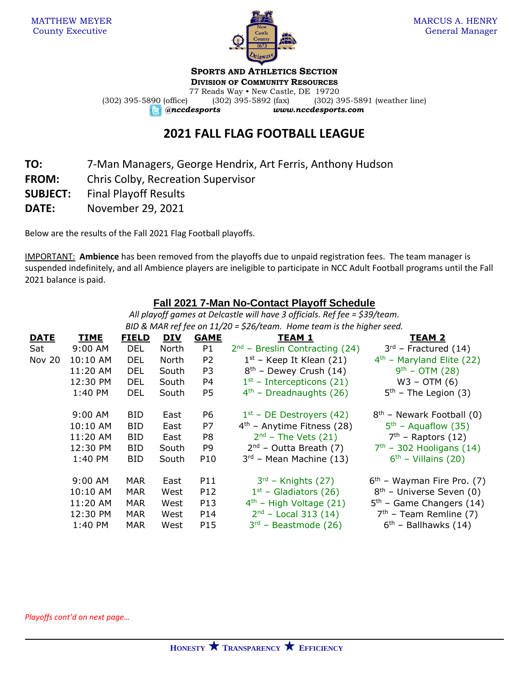

**SPORTS AND ATHLETICS SECTION**

**DIVISION OF COMMUNITY RESOURCES** 77 Reads Way • New Castle, DE 19720 (302) 395-5890 (office) (302) 395-5892 (fax) (302) 395-5891 (weather line)

*@nccdesports www.nccdesports.com*

## **2021 FALL FLAG FOOTBALL LEAGUE**

- **TO:** 7-Man Managers, George Hendrix, Art Ferris, Anthony Hudson
- **FROM:** Chris Colby, Recreation Supervisor
- **SUBJECT:** Final Playoff Results
- **DATE:** November 29, 2021

Below are the results of the Fall 2021 Flag Football playoffs.

IMPORTANT: **Ambience** has been removed from the playoffs due to unpaid registration fees. The team manager is suspended indefinitely, and all Ambience players are ineligible to participate in NCC Adult Football programs until the Fall 2021 balance is paid.

## **Fall 2021 7-Man No-Contact Playoff Schedule**

*All playoff games at Delcastle will have 3 officials. Ref fee = \$39/team. BID & MAR ref fee on 11/20 = \$26/team. Home team is the higher seed.*

| <b>DATE</b>   | <b>TIME</b> | <b>FIELD</b> | <b>DIV</b> | <b>GAME</b>     | <b>TEAM 1</b>                    | TEAM 2                               |  |  |  |
|---------------|-------------|--------------|------------|-----------------|----------------------------------|--------------------------------------|--|--|--|
| Sat           | $9:00$ AM   | DEL          | North      | P1              | $2nd$ – Breslin Contracting (24) | $3rd$ – Fractured (14)               |  |  |  |
| <b>Nov 20</b> | 10:10 AM    | <b>DEL</b>   | North      | P <sub>2</sub>  | $1st$ – Keep It Klean (21)       | $4th$ – Maryland Elite (22)          |  |  |  |
|               | 11:20 AM    | <b>DEL</b>   | South      | P <sub>3</sub>  | $8th$ – Dewey Crush (14)         | $9^{th}$ – OTM (28)                  |  |  |  |
|               | 12:30 PM    | DEL.         | South      | P4              | $1st$ – Intercepticons (21)      | $W3 - OTM(6)$                        |  |  |  |
|               | 1:40 PM     | DEL          | South      | P <sub>5</sub>  | $4th$ - Dreadnaughts (26)        | $5th$ – The Legion (3)               |  |  |  |
|               | 9:00 AM     | <b>BID</b>   | East       | P6              | $1st$ – DE Destroyers (42)       | $8th$ – Newark Football (0)          |  |  |  |
|               | 10:10 AM    | <b>BID</b>   | East       | P7              | $4th$ – Anytime Fitness (28)     | $5th$ – Aquaflow (35)                |  |  |  |
|               | 11:20 AM    | <b>BID</b>   | East       | P8              | $2nd$ – The Vets (21)            | $7th$ – Raptors (12)                 |  |  |  |
|               | 12:30 PM    | <b>BID</b>   | South      | P <sub>9</sub>  | $2^{nd}$ – Outta Breath (7)      | $7th$ - 302 Hooligans (14)           |  |  |  |
|               | 1:40 PM     | <b>BID</b>   | South      | P <sub>10</sub> | $3rd$ – Mean Machine (13)        | $6th$ – Villains (20)                |  |  |  |
|               | $9:00$ AM   | <b>MAR</b>   | East       | P11             | $3rd$ – Knights (27)             | $6th$ – Wayman Fire Pro. (7)         |  |  |  |
|               | 10:10 AM    | <b>MAR</b>   | West       | P <sub>12</sub> | $1st$ – Gladiators (26)          | 8 <sup>th</sup> - Universe Seven (0) |  |  |  |
|               | 11:20 AM    | <b>MAR</b>   | West       | P13             | $4th$ - High Voltage (21)        | $5th$ – Game Changers (14)           |  |  |  |
|               | 12:30 PM    | <b>MAR</b>   | West       | P14             | $2nd$ – Local 313 (14)           | $7th$ – Team Remline (7)             |  |  |  |
|               | 1:40 PM     | <b>MAR</b>   | West       | P15             | $3rd$ – Beastmode (26)           | $6th$ – Ballhawks (14)               |  |  |  |

*Playoffs cont'd on next page…*